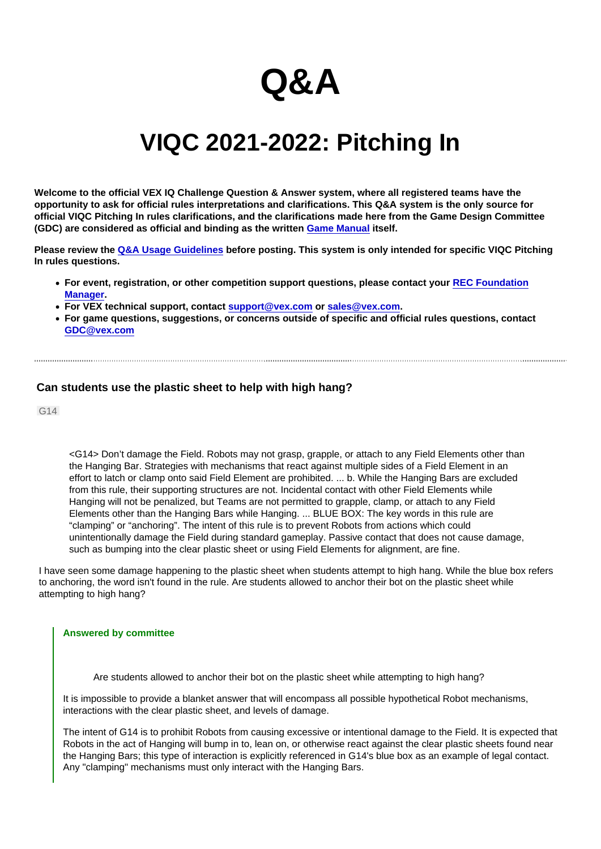## Q&A

## VIQC 2021-2022: Pitching In

Welcome to the official VEX IQ Challenge Question & Answer system, where all registered teams have the opportunity to ask for official rules interpretations and clarifications. This Q&A system is the only source for official VIQC Pitching In rules clarifications, and the clarifications made here from the Game Design Committee (GDC) are considered as official and binding as the written [Game Manual](https://link.vex.com/docs/viqc/pitching-in/Game-Manual) itself.

Please review the [Q&A Usage Guidelines](https://robotevents.com/VIQC/2021-2022/QA/guidelines) before posting. This system is only intended for specific VIQC Pitching In rules questions.

• For event, registration, or other competition support questions, please contact your [REC Foundation](http://www.robotevents.com/support) [Manager](http://www.robotevents.com/support).

- For VEX technical support, contact [support@vex.com](mailto:support@vex.com) or [sales@vex.com](mailto:sales@vex.com) .
- For game questions, suggestions, or concerns outside of specific and official rules questions, contact [GDC@vex.com](mailto:GDC@vex.com)

## Can students use the plastic sheet to help with high hang?

G14

<G14> Don't damage the Field. Robots may not grasp, grapple, or attach to any Field Elements other than the Hanging Bar. Strategies with mechanisms that react against multiple sides of a Field Element in an effort to latch or clamp onto said Field Element are prohibited. ... b. While the Hanging Bars are excluded from this rule, their supporting structures are not. Incidental contact with other Field Elements while Hanging will not be penalized, but Teams are not permitted to grapple, clamp, or attach to any Field Elements other than the Hanging Bars while Hanging. ... BLUE BOX: The key words in this rule are "clamping" or "anchoring". The intent of this rule is to prevent Robots from actions which could unintentionally damage the Field during standard gameplay. Passive contact that does not cause damage, such as bumping into the clear plastic sheet or using Field Elements for alignment, are fine.

I have seen some damage happening to the plastic sheet when students attempt to high hang. While the blue box refers to anchoring, the word isn't found in the rule. Are students allowed to anchor their bot on the plastic sheet while attempting to high hang?

## Answered by committee

Are students allowed to anchor their bot on the plastic sheet while attempting to high hang?

It is impossible to provide a blanket answer that will encompass all possible hypothetical Robot mechanisms, interactions with the clear plastic sheet, and levels of damage.

The intent of G14 is to prohibit Robots from causing excessive or intentional damage to the Field. It is expected that Robots in the act of Hanging will bump in to, lean on, or otherwise react against the clear plastic sheets found near the Hanging Bars; this type of interaction is explicitly referenced in G14's blue box as an example of legal contact. Any "clamping" mechanisms must only interact with the Hanging Bars.